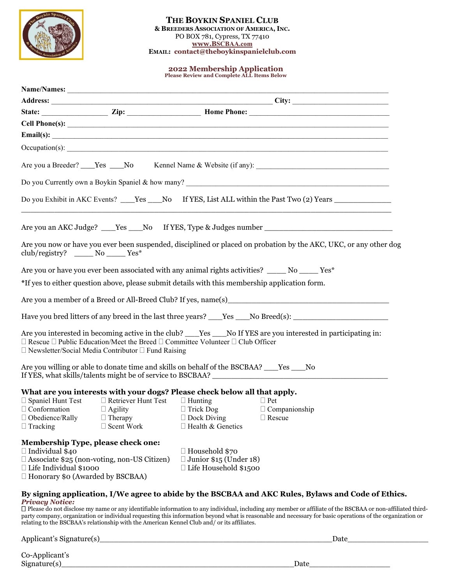

#### **THE BOYKIN SPANIEL CLUB & BREEDERS ASSOCIATION OF AMERICA, INC.**  PO BOX 781, Cypress, TX 77410 **www.BSCBAA.com EMAIL: contact@theboykinspanielclub.com**

# **2022 Membership Application Please Review and Complete ALL Items Below**

|                                                                                                                                                                                           |                                                                                                                                                                                           |                                                                                        | Email(s): $\qquad \qquad$                                                                                                                                                                                                                                                                                                                                                                                                        |
|-------------------------------------------------------------------------------------------------------------------------------------------------------------------------------------------|-------------------------------------------------------------------------------------------------------------------------------------------------------------------------------------------|----------------------------------------------------------------------------------------|----------------------------------------------------------------------------------------------------------------------------------------------------------------------------------------------------------------------------------------------------------------------------------------------------------------------------------------------------------------------------------------------------------------------------------|
|                                                                                                                                                                                           |                                                                                                                                                                                           |                                                                                        |                                                                                                                                                                                                                                                                                                                                                                                                                                  |
|                                                                                                                                                                                           |                                                                                                                                                                                           |                                                                                        | Are you a Breeder? ____Yes ____No Kennel Name & Website (if any): __________________________________                                                                                                                                                                                                                                                                                                                             |
|                                                                                                                                                                                           |                                                                                                                                                                                           |                                                                                        |                                                                                                                                                                                                                                                                                                                                                                                                                                  |
|                                                                                                                                                                                           |                                                                                                                                                                                           |                                                                                        | Do you Exhibit in AKC Events? Nes No If YES, List ALL within the Past Two (2) Years                                                                                                                                                                                                                                                                                                                                              |
|                                                                                                                                                                                           |                                                                                                                                                                                           |                                                                                        | Are you an AKC Judge? ____Yes ____No If YES, Type & Judges number __________________________________                                                                                                                                                                                                                                                                                                                             |
| club/registry? ______ No ______ Yes*                                                                                                                                                      |                                                                                                                                                                                           |                                                                                        | Are you now or have you ever been suspended, disciplined or placed on probation by the AKC, UKC, or any other dog                                                                                                                                                                                                                                                                                                                |
|                                                                                                                                                                                           |                                                                                                                                                                                           |                                                                                        | Are you or have you ever been associated with any animal rights activities? _____ No _____ Yes*                                                                                                                                                                                                                                                                                                                                  |
|                                                                                                                                                                                           | *If yes to either question above, please submit details with this membership application form.                                                                                            |                                                                                        |                                                                                                                                                                                                                                                                                                                                                                                                                                  |
|                                                                                                                                                                                           |                                                                                                                                                                                           |                                                                                        | Are you a member of a Breed or All-Breed Club? If yes, name(s)                                                                                                                                                                                                                                                                                                                                                                   |
|                                                                                                                                                                                           |                                                                                                                                                                                           |                                                                                        | Have you bred litters of any breed in the last three years? No Breed(s):                                                                                                                                                                                                                                                                                                                                                         |
|                                                                                                                                                                                           | $\Box$ Rescue $\Box$ Public Education/Meet the Breed $\Box$ Committee Volunteer $\Box$ Club Officer<br>$\square$ Newsletter/Social Media Contributor $\square$ Fund Raising               |                                                                                        | Are you interested in becoming active in the club? Yes No If YES are you interested in participating in:                                                                                                                                                                                                                                                                                                                         |
|                                                                                                                                                                                           | Are you willing or able to donate time and skills on behalf of the BSCBAA? ____Yes ____No                                                                                                 |                                                                                        |                                                                                                                                                                                                                                                                                                                                                                                                                                  |
| $\Box$ Conformation<br>$\Box$ Obedience/Rally<br>$\Box$ Tracking                                                                                                                          | What are you interests with your dogs? Please check below all that apply.<br>$\Box$ Spaniel Hunt Test $\Box$ Retriever Hunt Test<br>$\Box$ Agility<br>$\Box$ Therapy<br>$\Box$ Scent Work | $\Box$ Hunting<br>$\Box$ Trick Dog<br>$\Box$ Dock Diving<br>$\Box$ Health & Genetics   | $\Box$ Pet<br>$\Box$ Companionship<br>$\Box$ Rescue                                                                                                                                                                                                                                                                                                                                                                              |
| Membership Type, please check one:<br>$\Box$ Individual \$40<br>$\Box$ Associate \$25 (non-voting, non-US Citizen)<br>□ Life Individual \$1000<br>$\Box$ Honorary \$0 (Awarded by BSCBAA) |                                                                                                                                                                                           | $\Box$ Household \$70<br>$\Box$ Junior \$15 (Under 18)<br>$\Box$ Life Household \$1500 |                                                                                                                                                                                                                                                                                                                                                                                                                                  |
| <b>Privacy Notice:</b>                                                                                                                                                                    | relating to the BSCBAA's relationship with the American Kennel Club and/ or its affiliates.                                                                                               |                                                                                        | By signing application, I/We agree to abide by the BSCBAA and AKC Rules, Bylaws and Code of Ethics.<br>D Please do not disclose my name or any identifiable information to any individual, including any member or affiliate of the BSCBAA or non-affiliated third-<br>party company, organization or individual requesting this information beyond what is reasonable and necessary for basic operations of the organization or |

Signature(s)\_\_\_\_\_\_\_\_\_\_\_\_\_\_\_\_\_\_\_\_\_\_\_\_\_\_\_\_\_\_\_\_\_\_\_\_\_\_\_\_\_\_\_\_\_\_\_\_\_Date\_\_\_\_\_\_\_\_\_\_\_\_\_\_\_\_\_

Applicant's Signature(s)\_\_\_\_\_\_\_\_\_\_\_\_\_\_\_\_\_\_\_\_\_\_\_\_\_\_\_\_\_\_\_\_\_\_\_\_\_\_\_\_\_\_\_\_\_\_\_\_\_Date\_\_\_\_\_\_\_\_\_\_\_\_\_\_\_\_\_

Co-Applicant's<br>Signature(s)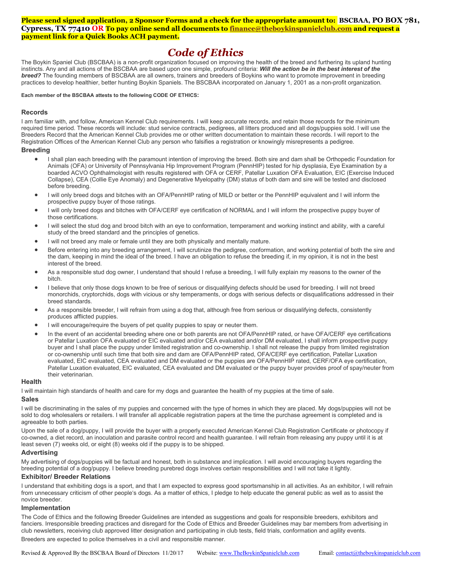#### **Please send signed application, 2 Sponsor Forms and a check for the appropriate amount to: BSCBAA, PO BOX 781, Cypress, TX 77410 OR To pay online send all documents to [finance@theboykinspanielclub.com](mailto:finance@theboykinspanielclub.com) and request a payment link for a Quick Books ACH payment.**

# *Code of Ethics*

The Boykin Spaniel Club (BSCBAA) is a non-profit organization focused on improving the health of the breed and furthering its upland hunting instincts. Any and all actions of the BSCBAA are based upon one simple, profound criteria: *Will the action be in the best interest of the breed?* The founding members of BSCBAA are all owners, trainers and breeders of Boykins who want to promote improvement in breeding practices to develop healthier, better hunting Boykin Spaniels. The BSCBAA incorporated on January 1, 2001 as a non-profit organization.

#### **Each member of the BSCBAA attests to the following CODE OF ETHICS:**

#### **Records**

I am familiar with, and follow, American Kennel Club requirements. I will keep accurate records, and retain those records for the minimum required time period. These records will include: stud service contracts, pedigrees, all litters produced and all dogs/puppies sold. I will use the Breeders Record that the American Kennel Club provides me or other written documentation to maintain these records. I will report to the Registration Offices of the American Kennel Club any person who falsifies a registration or knowingly misrepresents a pedigree.

#### **Breeding**

- I shall plan each breeding with the paramount intention of improving the breed. Both sire and dam shall be Orthopedic Foundation for Animals (OFA) or University of Pennsylvania Hip Improvement Program (PennHIP) tested for hip dysplasia, Eye Examination by a boarded ACVO Ophthalmologist with results registered with OFA or CERF, Patellar Luxation OFA Evaluation, EIC (Exercise Induced Collapse), CEA (Collie Eye Anomaly) and Degenerative Myelopathy (DM) status of both dam and sire will be tested and disclosed before breeding.
- I will only breed dogs and bitches with an OFA/PennHIP rating of MILD or better or the PennHIP equivalent and I will inform the prospective puppy buyer of those ratings.
- I will only breed dogs and bitches with OFA/CERF eye certification of NORMAL and I will inform the prospective puppy buyer of those certifications.
- I will select the stud dog and brood bitch with an eye to conformation, temperament and working instinct and ability, with a careful study of the breed standard and the principles of genetics.
- I will not breed any male or female until they are both physically and mentally mature.
- Before entering into any breeding arrangement, I will scrutinize the pedigree, conformation, and working potential of both the sire and the dam, keeping in mind the ideal of the breed. I have an obligation to refuse the breeding if, in my opinion, it is not in the best interest of the breed.
- As a responsible stud dog owner, I understand that should I refuse a breeding, I will fully explain my reasons to the owner of the bitch.
- I believe that only those dogs known to be free of serious or disqualifying defects should be used for breeding. I will not breed monorchids, cryptorchids, dogs with vicious or shy temperaments, or dogs with serious defects or disqualifications addressed in their breed standards.
- As a responsible breeder, I will refrain from using a dog that, although free from serious or disqualifying defects, consistently produces afflicted puppies.
- I will encourage/require the buyers of pet quality puppies to spay or neuter them.
- In the event of an accidental breeding where one or both parents are not OFA/PennHIP rated, or have OFA/CERF eye certifications or Patellar Luxation OFA evaluated or EIC evaluated and/or CEA evaluated and/or DM evaluated, I shall inform prospective puppy buyer and I shall place the puppy under limited registration and co-ownership. I shall not release the puppy from limited registration or co-ownership until such time that both sire and dam are OFA/PennHIP rated, OFA/CERF eye certification, Patellar Luxation evaluated, EIC evaluated, CEA evaluated and DM evaluated or the puppies are OFA/PennHIP rated, CERF/OFA eye certification, Patellar Luxation evaluated, EIC evaluated, CEA evaluated and DM evaluated or the puppy buyer provides proof of spay/neuter from their veterinarian.

#### **Health**

I will maintain high standards of health and care for my dogs and guarantee the health of my puppies at the time of sale.

#### **Sales**

I will be discriminating in the sales of my puppies and concerned with the type of homes in which they are placed. My dogs/puppies will not be sold to dog wholesalers or retailers. I will transfer all applicable registration papers at the time the purchase agreement is completed and is agreeable to both parties.

Upon the sale of a dog/puppy, I will provide the buyer with a properly executed American Kennel Club Registration Certificate or photocopy if co-owned, a diet record, an inoculation and parasite control record and health guarantee. I will refrain from releasing any puppy until it is at least seven (7) weeks old, or eight (8) weeks old if the puppy is to be shipped.

#### **Advertising**

My advertising of dogs/puppies will be factual and honest, both in substance and implication. I will avoid encouraging buyers regarding the breeding potential of a dog/puppy. I believe breeding purebred dogs involves certain responsibilities and I will not take it lightly.

#### **Exhibitor/ Breeder Relations**

I understand that exhibiting dogs is a sport, and that I am expected to express good sportsmanship in all activities. As an exhibitor, I will refrain from unnecessary criticism of other people's dogs. As a matter of ethics, I pledge to help educate the general public as well as to assist the novice breeder.

#### **Implementation**

The Code of Ethics and the following Breeder Guidelines are intended as suggestions and goals for responsible breeders, exhibitors and fanciers. Irresponsible breeding practices and disregard for the Code of Ethics and Breeder Guidelines may bar members from advertising in club newsletters, receiving club approved litter designation and participating in club tests, field trials, conformation and agility events.

Breeders are expected to police themselves in a civil and responsible manner.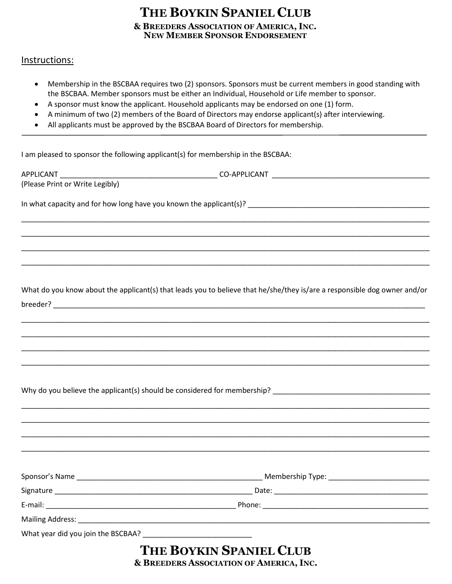## **& BREEDERS ASSOCIATION OF AMERICA, INC. NEW MEMBER SPONSOR ENDORSEMENT THE BOYKIN SPANIEL CLUB**

## Instructions:

- Membership in the BSCBAA requires two (2) sponsors. Sponsors must be current members in good standing with the BSCBAA. Member sponsors must be either an Individual, Household or Life member to sponsor.
- A sponsor must know the applicant. Household applicants may be endorsed on one (1) form.
- A minimum of two (2) members of the Board of Directors may endorse applicant(s) after interviewing.
- All applicants must be approved by the BSCBAA Board of Directors for membership.

I am pleased to sponsor the following applicant(s) for membership in the BSCBAA:

| (Please Print or Write Legibly)    |                                                                                                                          |  |
|------------------------------------|--------------------------------------------------------------------------------------------------------------------------|--|
|                                    |                                                                                                                          |  |
|                                    |                                                                                                                          |  |
|                                    |                                                                                                                          |  |
|                                    |                                                                                                                          |  |
|                                    |                                                                                                                          |  |
|                                    |                                                                                                                          |  |
|                                    | What do you know about the applicant(s) that leads you to believe that he/she/they is/are a responsible dog owner and/or |  |
|                                    |                                                                                                                          |  |
|                                    |                                                                                                                          |  |
|                                    |                                                                                                                          |  |
|                                    |                                                                                                                          |  |
|                                    |                                                                                                                          |  |
|                                    |                                                                                                                          |  |
|                                    |                                                                                                                          |  |
|                                    |                                                                                                                          |  |
|                                    |                                                                                                                          |  |
|                                    |                                                                                                                          |  |
|                                    |                                                                                                                          |  |
|                                    |                                                                                                                          |  |
|                                    |                                                                                                                          |  |
|                                    |                                                                                                                          |  |
| E-mail: $\overline{\phantom{a}}$   | Phone: _<br><u> 1989 - Johann John Stein, mars an deus Amerikaansk kommunister (</u>                                     |  |
| Mailing Address: Mailing Address:  |                                                                                                                          |  |
| What year did you join the BSCBAA? |                                                                                                                          |  |
|                                    | THE BOYKIN SPANIEL CLUB                                                                                                  |  |
|                                    | $0.00011$ mease of                                                                                                       |  |

**& BREEDERS ASSOCIATION OF AMERICA, INC.**